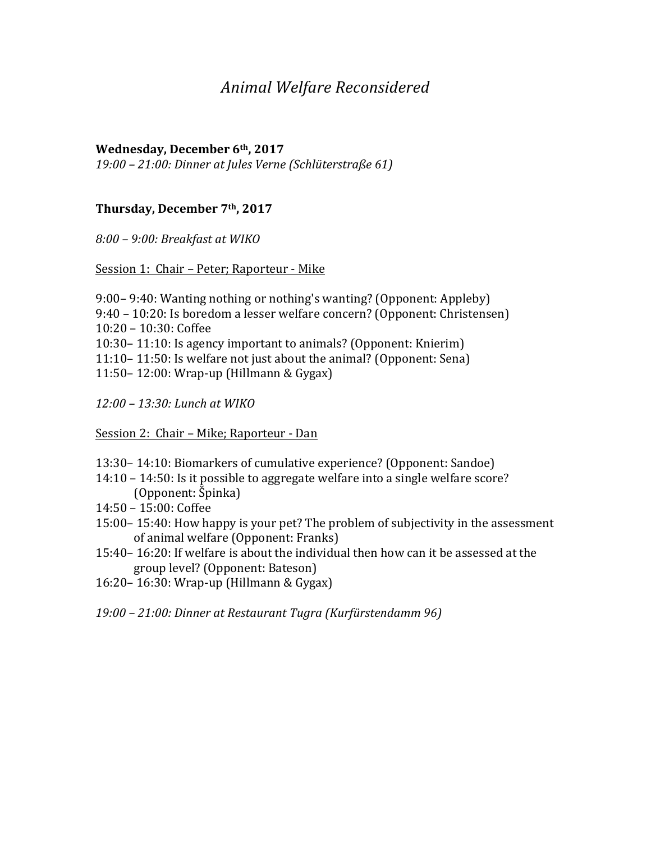# *Animal Welfare Reconsidered*

### **Wednesday, December 6th, 2017**

*19:00 – 21:00: Dinner at Jules Verne (Schlüterstraße 61)*

### Thursday, December 7<sup>th</sup>, 2017

*8:00 – 9:00: Breakfast at WIKO* 

Session 1: Chair - Peter; Raporteur - Mike

- 9:00–9:40: Wanting nothing or nothing's wanting? (Opponent: Appleby)
- 9:40 10:20: Is boredom a lesser welfare concern? (Opponent: Christensen)
- 10:20 10:30: Coffee
- 10:30 11:10: Is agency important to animals? (Opponent: Knierim)
- 11:10 11:50: Is welfare not just about the animal? (Opponent: Sena)
- 11:50– 12:00: Wrap-up (Hillmann & Gygax)

*12:00 – 13:30: Lunch at WIKO*

Session 2: Chair – Mike; Raporteur - Dan

- 13:30 14:10: Biomarkers of cumulative experience? (Opponent: Sandoe)
- $14:10 14:50$ : Is it possible to aggregate welfare into a single welfare score? (Opponent: Špinka)
- 14:50 – 15:00: Coffee
- 15:00– 15:40: How happy is your pet? The problem of subjectivity in the assessment of animal welfare (Opponent: Franks)
- 15:40-16:20: If welfare is about the individual then how can it be assessed at the group level? (Opponent: Bateson)
- 16:20– 16:30: Wrap-up (Hillmann & Gygax)

*19:00 – 21:00: Dinner at Restaurant Tugra (Kurfürstendamm 96)*